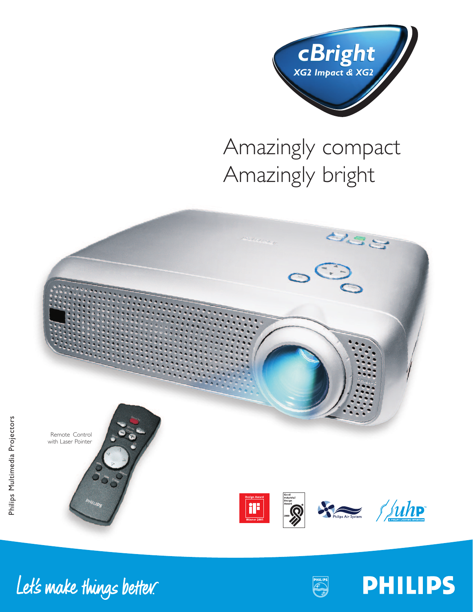

# Amazingly compact Amazingly bright



Let's make things better.



**PHILIPS**